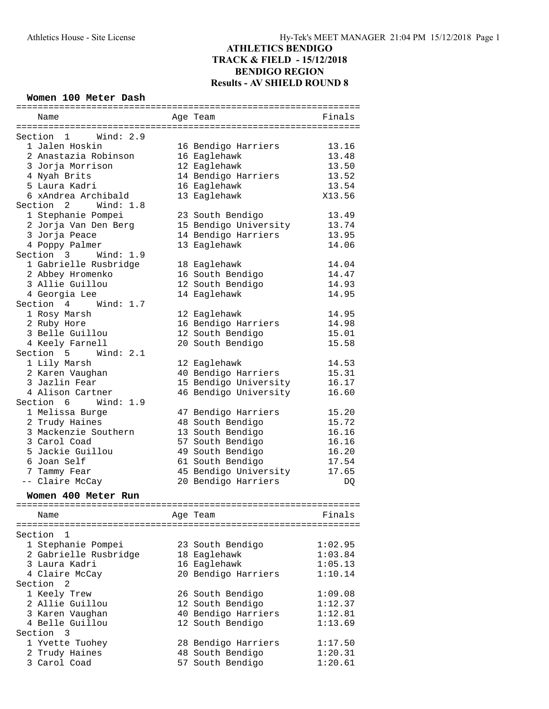| Women 100 Meter Dash      |                       |                |
|---------------------------|-----------------------|----------------|
| Name                      | Age Team              | Finals         |
|                           |                       |                |
| Section<br>1<br>Wind: 2.9 |                       |                |
| 1 Jalen Hoskin            | 16 Bendigo Harriers   | 13.16          |
| 2 Anastazia Robinson      | 16 Eaglehawk          | 13.48          |
| 3 Jorja Morrison          | 12 Eaglehawk          | 13.50          |
| 4 Nyah Brits              | 14 Bendigo Harriers   | 13.52          |
| 5 Laura Kadri             | 16 Eaglehawk          | 13.54          |
| 6 xAndrea Archibald       | 13 Eaglehawk          | X13.56         |
| Section 2 Wind: 1.8       |                       |                |
| 1 Stephanie Pompei        | 23 South Bendigo      | 13.49          |
| 2 Jorja Van Den Berg      | 15 Bendigo University | 13.74          |
| 3 Jorja Peace             | 14 Bendigo Harriers   | 13.95          |
| 4 Poppy Palmer            | 13 Eaglehawk          | 14.06          |
| Section 3<br>Wind: $1.9$  |                       |                |
| 1 Gabrielle Rusbridge     | 18 Eaglehawk          | 14.04          |
| 2 Abbey Hromenko          | 16 South Bendigo      | 14.47          |
| 3 Allie Guillou           | 12 South Bendigo      | 14.93          |
| 4 Georgia Lee             | 14 Eaglehawk          | 14.95          |
| Wind: $1.7$<br>Section 4  |                       |                |
| 1 Rosy Marsh              | 12 Eaglehawk          | 14.95          |
| 2 Ruby Hore               | 16 Bendigo Harriers   | 14.98          |
| 3 Belle Guillou           | 12 South Bendigo      | 15.01          |
| 4 Keely Farnell           | 20 South Bendigo      | 15.58          |
| Section 5<br>Wind: $2.1$  |                       |                |
| 1 Lily Marsh              | 12 Eaglehawk          | 14.53          |
| 2 Karen Vaughan           | 40 Bendigo Harriers   | 15.31          |
| 3 Jazlin Fear             | 15 Bendigo University |                |
| 4 Alison Cartner          |                       | 16.17<br>16.60 |
|                           | 46 Bendigo University |                |
| Section 6 Wind: 1.9       |                       |                |
| 1 Melissa Burge           | 47 Bendigo Harriers   | 15.20          |
| 2 Trudy Haines            | 48 South Bendigo      | 15.72          |
| 3 Mackenzie Southern      | 13 South Bendigo      | 16.16          |
| 3 Carol Coad              | 57 South Bendigo      | 16.16          |
| 5 Jackie Guillou          | 49 South Bendigo      | 16.20          |
| 6 Joan Self               | 61 South Bendigo      | 17.54          |
| 7 Tammy Fear              | 45 Bendigo University | 17.65          |
| -- Claire McCay           | 20 Bendigo Harriers   | DQ             |
| Women 400 Meter Run       |                       |                |
|                           |                       |                |
| Name                      | Age Team              | Finals         |
| Section                   |                       |                |
| ı.                        |                       |                |
| 1 Stephanie Pompei        | 23 South Bendigo      | 1:02.95        |
| 2 Gabrielle Rusbridge     | 18 Eaglehawk          | 1:03.84        |
| 3 Laura Kadri             | 16 Eaglehawk          | 1:05.13        |
| 4 Claire McCay            | 20 Bendigo Harriers   | 1:10.14        |
| Section<br>2              |                       |                |
| 1 Keely Trew              | 26 South Bendigo      | 1:09.08        |
| 2 Allie Guillou           | 12 South Bendigo      | 1:12.37        |
| 3 Karen Vaughan           | 40 Bendigo Harriers   | 1:12.81        |
| 4 Belle Guillou           | 12 South Bendigo      | 1:13.69        |
| Section<br>3              |                       |                |
| 1 Yvette Tuohey           | 28 Bendigo Harriers   | 1:17.50        |
| 2 Trudy Haines            | 48 South Bendigo      | 1:20.31        |
| 3 Carol Coad              | 57 South Bendigo      | 1:20.61        |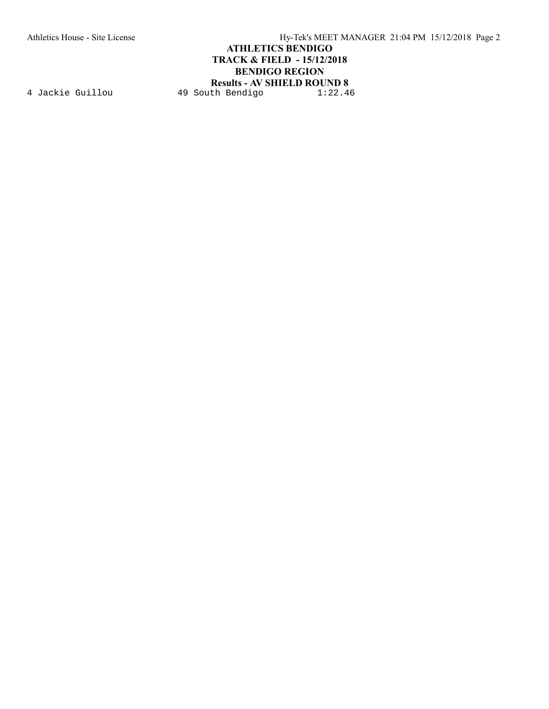Athletics House - Site License Hy-Tek's MEET MANAGER 21:04 PM 15/12/2018 Page 2

### **ATHLETICS BENDIGO TRACK & FIELD - 15/12/2018 BENDIGO REGION**

**Results - AV SHIELD ROUND 8** 4 Jackie Guillou 19 South Bendigo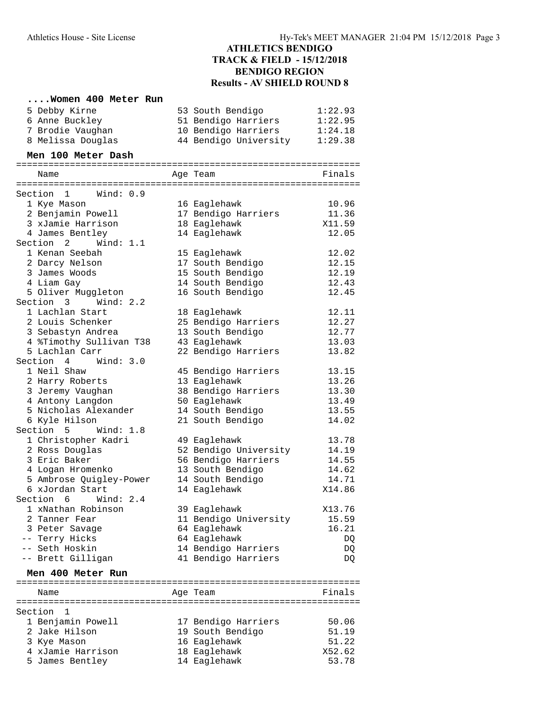### **....Women 400 Meter Run**

| 5 Debby Kirne<br>6 Anne Buckley<br>7 Brodie Vaughan<br>8 Melissa Douglas | 53 South Bendigo<br>51 Bendigo Harriers<br>10 Bendigo Harriers<br>44 Bendigo University | 1:22.93<br>1:22.95<br>1:24.18<br>1:29.38 |
|--------------------------------------------------------------------------|-----------------------------------------------------------------------------------------|------------------------------------------|
| Men 100 Meter Dash                                                       |                                                                                         |                                          |
| Name                                                                     | Age Team                                                                                | Finals                                   |
|                                                                          |                                                                                         |                                          |
| Section 1 Wind: 0.9<br>1 Kye Mason                                       | 16 Eaglehawk                                                                            | 10.96                                    |
| 2 Benjamin Powell                                                        | 17 Bendigo Harriers                                                                     | 11.36                                    |
| 3 xJamie Harrison                                                        | 18 Eaglehawk                                                                            | X11.59                                   |
| 4 James Bentley                                                          | 14 Eaglehawk                                                                            | 12.05                                    |
| Section 2<br>Wind: 1.1                                                   |                                                                                         |                                          |
| 1 Kenan Seebah                                                           | 15 Eaglehawk                                                                            | 12.02                                    |
| 2 Darcy Nelson                                                           | 17 South Bendigo                                                                        | 12.15                                    |
| 3 James Woods                                                            | 15 South Bendigo                                                                        | 12.19                                    |
| 4 Liam Gay                                                               | 14 South Bendigo                                                                        | 12.43                                    |
| 5 Oliver Muggleton                                                       | 16 South Bendigo                                                                        | 12.45                                    |
| Section 3 Wind: 2.2                                                      |                                                                                         |                                          |
| 1 Lachlan Start                                                          | 18 Eaglehawk                                                                            | 12.11                                    |
| 2 Louis Schenker                                                         | 25 Bendigo Harriers                                                                     | 12.27                                    |
| 3 Sebastyn Andrea                                                        | 13 South Bendigo                                                                        | 12.77                                    |
| 4 %Timothy Sullivan T38                                                  | 43 Eaglehawk                                                                            | 13.03                                    |
| 5 Lachlan Carr                                                           | 22 Bendigo Harriers                                                                     | 13.82                                    |
| Section 4<br>Wind: 3.0                                                   |                                                                                         |                                          |
| 1 Neil Shaw                                                              | 45 Bendigo Harriers                                                                     | 13.15                                    |
| 2 Harry Roberts                                                          | 13 Eaglehawk                                                                            | 13.26                                    |
| 3 Jeremy Vaughan                                                         | 38 Bendigo Harriers                                                                     | 13.30                                    |
| 4 Antony Langdon                                                         | 50 Eaglehawk                                                                            | 13.49                                    |
| 5 Nicholas Alexander                                                     | 14 South Bendigo                                                                        | 13.55                                    |
| 6 Kyle Hilson                                                            | 21 South Bendigo                                                                        | 14.02                                    |
| Section 5 Wind: 1.8                                                      |                                                                                         |                                          |
| 1 Christopher Kadri                                                      | 49 Eaglehawk                                                                            | 13.78                                    |
| 2 Ross Douglas                                                           | 52 Bendigo University                                                                   | 14.19                                    |
| 3 Eric Baker                                                             | 56 Bendigo Harriers                                                                     | 14.55                                    |
| 4 Logan Hromenko<br>5 Ambrose Quigley-Power                              | 13 South Bendigo                                                                        | 14.62                                    |
| 6 xJordan Start                                                          | 14 South Bendigo<br>14 Eaglehawk                                                        | 14.71<br>X14.86                          |
| Section 6<br>Wind: 2.4                                                   |                                                                                         |                                          |
| 1 xNathan Robinson                                                       | 39 Eaglehawk                                                                            | X13.76                                   |
| 2 Tanner Fear                                                            | 11 Bendigo University                                                                   | 15.59                                    |
| 3 Peter Savage                                                           | 64 Eaglehawk                                                                            | 16.21                                    |
| -- Terry Hicks                                                           | 64 Eaglehawk                                                                            | DQ                                       |
| -- Seth Hoskin                                                           | 14 Bendigo Harriers                                                                     | DQ                                       |
| -- Brett Gilligan                                                        | 41 Bendigo Harriers                                                                     | DQ                                       |
| Men 400 Meter Run                                                        |                                                                                         |                                          |
|                                                                          |                                                                                         |                                          |
| Name                                                                     | Age Team                                                                                | Finals                                   |
| Section<br>1                                                             |                                                                                         |                                          |
| 1 Benjamin Powell                                                        | 17 Bendigo Harriers                                                                     | 50.06                                    |
| 2 Jake Hilson                                                            | 19 South Bendigo                                                                        | 51.19                                    |
| 3 Kye Mason                                                              | 16 Eaglehawk                                                                            | 51.22                                    |
| 4 xJamie Harrison                                                        | 18 Eaglehawk                                                                            | X52.62                                   |

5 James Bentley 14 Eaglehawk 53.78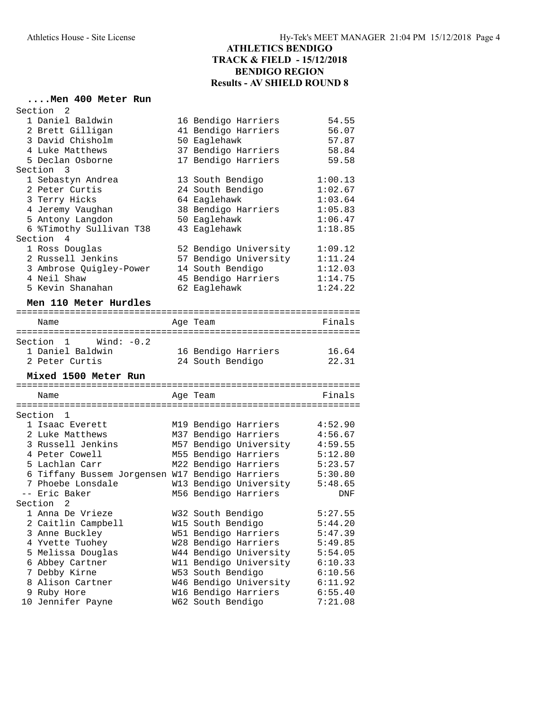## **....Men 400 Meter Run**

| Section<br>2                                    |                        |         |
|-------------------------------------------------|------------------------|---------|
| 1 Daniel Baldwin                                | 16 Bendigo Harriers    | 54.55   |
| 2 Brett Gilligan                                | 41 Bendigo Harriers    | 56.07   |
| 3 David Chisholm                                | 50 Eaglehawk           | 57.87   |
| 4 Luke Matthews                                 | 37 Bendigo Harriers    | 58.84   |
| 5 Declan Osborne                                | 17 Bendigo Harriers    | 59.58   |
| Section 3                                       |                        |         |
| 1 Sebastyn Andrea                               | 13 South Bendigo       | 1:00.13 |
| 2 Peter Curtis                                  | 24 South Bendigo       | 1:02.67 |
| 3 Terry Hicks                                   | 64 Eaglehawk           | 1:03.64 |
| 4 Jeremy Vaughan                                | 38 Bendigo Harriers    | 1:05.83 |
| 5 Antony Langdon                                | 50 Eaglehawk           | 1:06.47 |
| 6 %Timothy Sullivan T38                         | 43 Eaglehawk           | 1:18.85 |
| Section<br>4                                    |                        |         |
| 1 Ross Douglas                                  | 52 Bendigo University  | 1:09.12 |
| 2 Russell Jenkins                               | 57 Bendigo University  | 1:11.24 |
| 3 Ambrose Quigley-Power                         | 14 South Bendigo       | 1:12.03 |
| 4 Neil Shaw                                     | 45 Bendigo Harriers    | 1:14.75 |
| 5 Kevin Shanahan                                | 62 Eaglehawk           | 1:24.22 |
| Men 110 Meter Hurdles                           |                        |         |
|                                                 |                        |         |
| Name                                            | Aqe Team               | Finals  |
|                                                 |                        |         |
| Wind: $-0.2$<br>Section 1                       |                        |         |
| 1 Daniel Baldwin                                | 16 Bendigo Harriers    | 16.64   |
| 2 Peter Curtis                                  | 24 South Bendigo       | 22.31   |
| Mixed 1500 Meter Run                            |                        |         |
|                                                 |                        |         |
| Name<br>============                            | Age Team               | Finals  |
|                                                 |                        |         |
| Section <sub>1</sub>                            |                        |         |
| 1 Isaac Everett                                 | M19 Bendigo Harriers   | 4:52.90 |
| 2 Luke Matthews                                 | M37 Bendigo Harriers   | 4:56.67 |
| 3 Russell Jenkins                               | M57 Bendigo University | 4:59.55 |
| 4 Peter Cowell                                  | M55 Bendigo Harriers   | 5:12.80 |
| 5 Lachlan Carr                                  | M22 Bendigo Harriers   | 5:23.57 |
| 6 Tiffany Bussem Jorgensen W17 Bendigo Harriers |                        | 5:30.80 |
| 7 Phoebe Lonsdale<br>-- Eric Baker              | W13 Bendigo University | 5:48.65 |
|                                                 | M56 Bendigo Harriers   | DNF     |
| Section 2                                       |                        |         |
| 1 Anna De Vrieze                                | W32 South Bendigo      | 5:27.55 |
| 2 Caitlin Campbell                              | W15 South Bendigo      | 5:44.20 |
| 3 Anne Buckley                                  | W51 Bendigo Harriers   | 5:47.39 |
| 4 Yvette Tuohey                                 | W28 Bendigo Harriers   | 5:49.85 |
| 5 Melissa Douglas                               | W44 Bendigo University | 5:54.05 |
| 6 Abbey Cartner                                 | W11 Bendigo University | 6:10.33 |
| 7 Debby Kirne                                   | W53 South Bendigo      | 6:10.56 |
| 8 Alison Cartner                                | W46 Bendigo University | 6:11.92 |
| 9 Ruby Hore                                     | W16 Bendigo Harriers   | 6:55.40 |
| 10 Jennifer Payne                               | W62 South Bendigo      | 7:21.08 |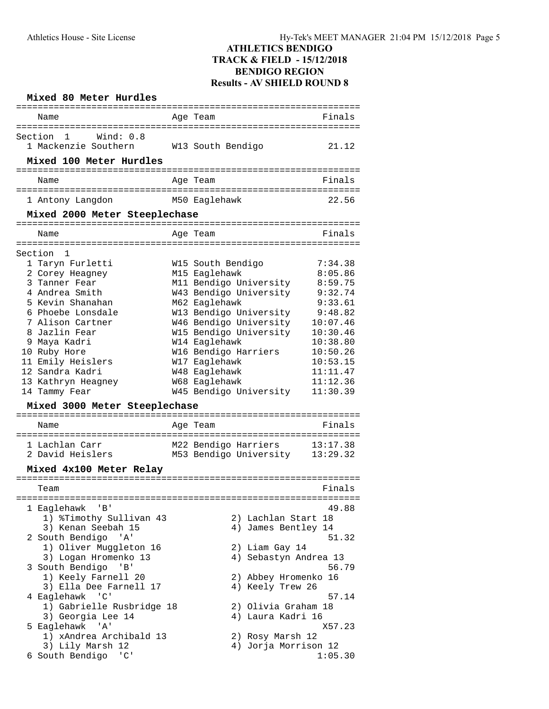| Mixed 80 Meter Hurdles                                                              |                                                                                             |                                              |
|-------------------------------------------------------------------------------------|---------------------------------------------------------------------------------------------|----------------------------------------------|
| ==============================<br>Name                                              | ==========<br>Age Team                                                                      | Finals                                       |
| Wind: 0.8<br>Section<br>1<br>1 Mackenzie Southern<br>Mixed 100 Meter Hurdles        | W13 South Bendigo                                                                           | 21.12                                        |
| -----------------------------<br>Name                                               |                                                                                             | Finals                                       |
|                                                                                     | Age Team                                                                                    |                                              |
| 1 Antony Langdon                                                                    | M50 Eaglehawk                                                                               | 22.56                                        |
| Mixed 2000 Meter Steeplechase                                                       |                                                                                             |                                              |
| Name                                                                                | Age Team                                                                                    | Finals                                       |
| ---------<br>Section<br>1                                                           |                                                                                             |                                              |
| 1 Taryn Furletti<br>2 Corey Heagney<br>3 Tanner Fear                                | W15 South Bendigo<br>M15 Eaglehawk<br>M11 Bendigo University                                | 7:34.38<br>8:05.86<br>8:59.75                |
| 4 Andrea Smith<br>5 Kevin Shanahan<br>6 Phoebe Lonsdale<br>7 Alison Cartner         | W43 Bendigo University<br>M62 Eaglehawk<br>W13 Bendigo University<br>W46 Bendigo University | 9:32.74<br>9:33.61<br>9:48.82<br>10:07.46    |
| 8 Jazlin Fear<br>9 Maya Kadri<br>10 Ruby Hore                                       | W15 Bendigo University<br>W14 Eaglehawk<br>W16 Bendigo Harriers                             | 10:30.46<br>10:38.80<br>10:50.26             |
| 11 Emily Heislers<br>12 Sandra Kadri<br>13 Kathryn Heagney<br>14 Tammy Fear         | W17 Eaglehawk<br>W48 Eaglehawk<br>W68 Eaglehawk<br>W45 Bendigo University                   | 10:53.15<br>11:11.47<br>11:12.36<br>11:30.39 |
| Mixed 3000 Meter Steeplechase                                                       |                                                                                             |                                              |
| Name                                                                                | Age Team                                                                                    | Finals                                       |
| 1 Lachlan Carr<br>2 David Heislers                                                  | M22 Bendigo Harriers<br>M53 Bendigo University                                              | 13:17.38<br>13:29.32                         |
| Mixed 4x100 Meter Relay                                                             |                                                                                             |                                              |
| Team                                                                                |                                                                                             | Finals                                       |
| ' B'<br>1 Eaglehawk<br>1) %Timothy Sullivan 43                                      | 2) Lachlan Start 18                                                                         | 49.88                                        |
| 3) Kenan Seebah 15<br>2 South Bendigo 'A'<br>1) Oliver Muggleton 16                 | 4) James Bentley 14<br>2) Liam Gay 14                                                       | 51.32                                        |
| 3) Logan Hromenko 13<br>3 South Bendigo<br>$\cdot$ B $\cdot$<br>1) Keely Farnell 20 | 4) Sebastyn Andrea 13<br>2) Abbey Hromenko 16                                               | 56.79                                        |
| 3) Ella Dee Farnell 17<br>4 Eaglehawk<br>$\cdot$ 'C'                                | 4) Keely Trew 26                                                                            | 57.14                                        |
| 1) Gabrielle Rusbridge 18<br>3) Georgia Lee 14<br>5 Eaglehawk<br>'' A '             | 2) Olivia Graham 18<br>4) Laura Kadri 16                                                    | X57.23                                       |
| 1) xAndrea Archibald 13<br>3) Lily Marsh 12                                         | 2) Rosy Marsh 12<br>4) Jorja Morrison 12                                                    |                                              |
| 6 South Bendigo<br>$^{\prime}$ C $^{\prime}$                                        |                                                                                             | 1:05.30                                      |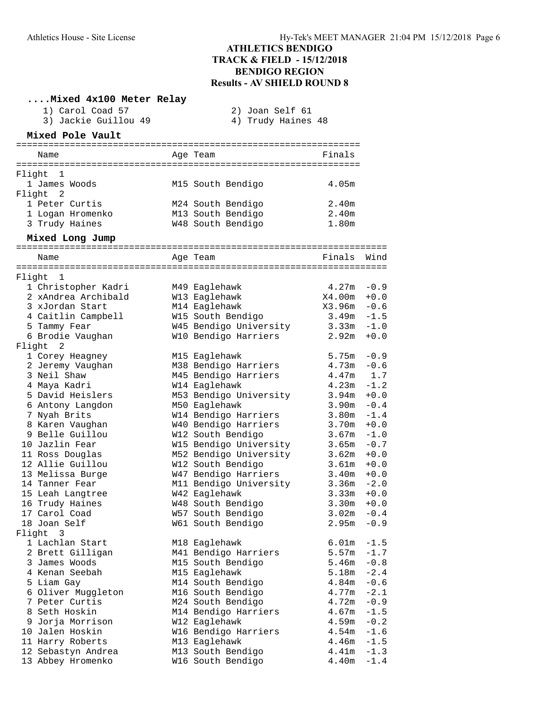|        | Mixed 4x100 Meter Relay            |                                           |                   |                                  |
|--------|------------------------------------|-------------------------------------------|-------------------|----------------------------------|
|        | 1) Carol Coad 57                   | 2) Joan Self 61                           |                   |                                  |
|        | 3) Jackie Guillou 49               | 4) Trudy Haines 48                        |                   |                                  |
|        | Mixed Pole Vault                   |                                           |                   |                                  |
|        | Name                               | Age Team                                  | Finals            |                                  |
|        |                                    |                                           |                   |                                  |
| Flight | -1                                 |                                           |                   |                                  |
|        | 1 James Woods                      | M15 South Bendigo                         | 4.05m             |                                  |
|        | Flight 2                           |                                           |                   |                                  |
|        | 1 Peter Curtis                     | M24 South Bendigo                         | 2.40m             |                                  |
|        | 1 Logan Hromenko                   | M13 South Bendigo                         | 2.40 <sub>m</sub> |                                  |
|        | 3 Trudy Haines                     | W48 South Bendigo                         | 1.80m             |                                  |
|        | Mixed Long Jump                    |                                           |                   |                                  |
|        | Name                               | Age Team                                  | Finals            | Wind                             |
| Flight | 1                                  |                                           |                   |                                  |
|        | 1 Christopher Kadri                | M49 Eaglehawk                             | 4.27m             | $-0.9$                           |
|        | 2 xAndrea Archibald                | W13 Eaglehawk                             | X4.00m            | $+0.0$                           |
|        | 3 xJordan Start                    | M14 Eaglehawk                             | $X3.96m - 0.6$    |                                  |
|        | 4 Caitlin Campbell                 | W15 South Bendigo                         | 3.49m             | $-1.5$                           |
|        | 5 Tammy Fear                       | W45 Bendigo University                    | 3.33m             | $-1.0$                           |
|        | 6 Brodie Vaughan                   | W10 Bendigo Harriers                      | 2.92m             | $+0.0$                           |
| Flight | 2                                  |                                           |                   |                                  |
|        | 1 Corey Heagney                    | M15 Eaglehawk                             | 5.75m             | $-0.9$                           |
|        | 2 Jeremy Vaughan                   | M38 Bendigo Harriers                      | $4.73m - 0.6$     |                                  |
|        | 3 Neil Shaw                        | M45 Bendigo Harriers                      | 4.47m             | 1.7                              |
|        | 4 Maya Kadri                       | W14 Eaglehawk                             | 4.23m             | $-1.2$                           |
|        | 5 David Heislers                   | M53 Bendigo University                    | 3.94m             | $+0.0$                           |
|        | 6 Antony Langdon                   | M50 Eaglehawk                             | 3.90 <sub>m</sub> | $-0.4$                           |
|        | 7 Nyah Brits                       | W14 Bendigo Harriers                      | 3.80 <sub>m</sub> | $-1.4$<br>$+0.0$                 |
|        | 8 Karen Vaughan<br>9 Belle Guillou | W40 Bendigo Harriers<br>W12 South Bendigo | 3.70m<br>3.67m    | $-1.0$                           |
|        | 10 Jazlin Fear                     | W15 Bendigo University                    | 3.65m             | $-0.7$                           |
|        | 11 Ross Douglas                    | M52 Bendigo University                    | 3.62m             | $+0.0$                           |
|        | 12 Allie Guillou                   | W12 South Bendigo                         | 3.61m             | $+0.0$                           |
|        | 13 Melissa Burge                   | W47 Bendigo Harriers                      | 3.40m             | $+0.0$                           |
|        | 14 Tanner Fear                     | M11 Bendigo University                    | 3.36m             | $-2.0$                           |
|        | 15 Leah Langtree                   | W42 Eaglehawk                             | $3.33m + 0.0$     |                                  |
|        | 16 Trudy Haines                    | W48 South Bendigo                         | 3.30m             | $+0.0$                           |
|        | 17 Carol Coad                      | W57 South Bendigo                         | 3.02m             | $-0.4$                           |
|        | 18 Joan Self                       | W61 South Bendigo                         | 2.95m             | $-\,0$ . $9$                     |
|        | Flight 3                           |                                           |                   |                                  |
|        | 1 Lachlan Start                    | M18 Eaglehawk                             | 6.01m             | $-1.5$                           |
|        | 2 Brett Gilligan                   | M41 Bendigo Harriers                      | 5.57m             | $-1.7$                           |
|        | 3 James Woods                      | M15 South Bendigo                         | 5.46m             | $-0.8$                           |
|        | 4 Kenan Seebah                     | M15 Eaglehawk                             | 5.18m             | $-2.4$                           |
|        | 5 Liam Gay                         | M14 South Bendigo                         | 4.84m             | $-0.6$                           |
|        | 6 Oliver Muggleton                 | M16 South Bendigo                         | 4.77m             | $-2.1$                           |
|        | 7 Peter Curtis                     | M24 South Bendigo                         | 4.72m             | $-0.9$                           |
|        | 8 Seth Hoskin                      | M14 Bendigo Harriers                      | 4.67m             | $-1.5$                           |
|        | 9 Jorja Morrison                   | W12 Eaglehawk                             | 4.59m             | $\sim0$ . $2$                    |
|        | 10 Jalen Hoskin                    | W16 Bendigo Harriers                      | 4.54m             | $-1.6$                           |
|        | 11 Harry Roberts                   | M13 Eaglehawk                             | 4.46m             | $-1.5$                           |
|        | 12 Sebastyn Andrea                 | M13 South Bendigo                         | 4.41m             | $-1.3$                           |
|        | 13 Abbey Hromenko                  | W16 South Bendigo                         | 4.40m             | $\textcolor{red}{\mathbf{-1.4}}$ |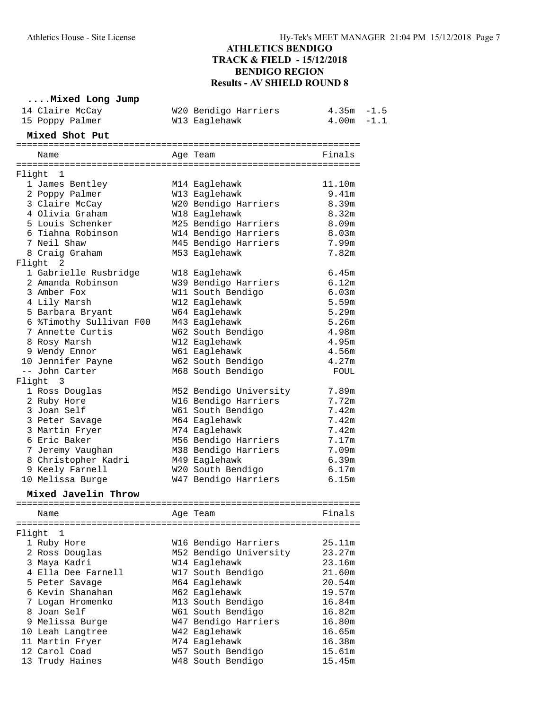# **....Mixed Long Jump**

| 14 Claire McCay<br>15 Poppy Palmer | W20 Bendigo Harriers<br>W13 Eaglehawk | $4.35m - 1.5$<br>$4.00m - 1.1$ |  |
|------------------------------------|---------------------------------------|--------------------------------|--|
| Mixed Shot Put                     |                                       |                                |  |
|                                    |                                       | Finals                         |  |
| Name                               | Age Team                              |                                |  |
| Flight 1                           |                                       |                                |  |
| 1 James Bentley                    | M14 Eaglehawk                         | 11.10m                         |  |
| 2 Poppy Palmer                     | W13 Eaglehawk                         | 9.41m                          |  |
| 3 Claire McCay                     | W20 Bendigo Harriers                  | 8.39m                          |  |
| 4 Olivia Graham                    | W18 Eaglehawk                         | 8.32m                          |  |
| 5 Louis Schenker                   | M25 Bendigo Harriers                  | 8.09 <sub>m</sub>              |  |
| 6 Tiahna Robinson                  | W14 Bendigo Harriers                  | 8.03m                          |  |
| 7 Neil Shaw                        | M45 Bendigo Harriers                  | 7.99m                          |  |
| 8 Craig Graham                     | M53 Eaglehawk                         | 7.82m                          |  |
| Flight 2                           |                                       |                                |  |
| 1 Gabrielle Rusbridge              | W18 Eaglehawk                         | 6.45m                          |  |
| 2 Amanda Robinson                  | W39 Bendigo Harriers                  | 6.12m                          |  |
| 3 Amber Fox                        | W11 South Bendigo                     | 6.03m                          |  |
| 4 Lily Marsh                       | W12 Eaglehawk                         | 5.59m                          |  |
| 5 Barbara Bryant                   | W64 Eaglehawk                         | 5.29m                          |  |
| 6 %Timothy Sullivan F00            | M43 Eaglehawk                         | 5.26m                          |  |
| 7 Annette Curtis                   | W62 South Bendigo                     | 4.98m                          |  |
| 8 Rosy Marsh                       | W12 Eaglehawk                         | 4.95m                          |  |
| 9 Wendy Ennor                      | W61 Eaglehawk                         | 4.56m                          |  |
| 10 Jennifer Payne                  | W62 South Bendigo                     | 4.27m                          |  |
| -- John Carter                     | M68 South Bendigo                     | FOUL                           |  |
| Flight 3                           |                                       |                                |  |
| 1 Ross Douglas                     | M52 Bendigo University                | 7.89m                          |  |
| 2 Ruby Hore                        | W16 Bendigo Harriers                  | 7.72m                          |  |
| 3 Joan Self                        | W61 South Bendigo                     | 7.42m                          |  |
| 3 Peter Savage                     | M64 Eaglehawk                         | 7.42m                          |  |
| 3 Martin Fryer                     | M74 Eaglehawk                         | 7.42m                          |  |
| 6 Eric Baker                       | M56 Bendigo Harriers                  | 7.17m                          |  |
| 7 Jeremy Vaughan                   | M38 Bendigo Harriers                  | 7.09m                          |  |
| 8 Christopher Kadri                | M49 Eaglehawk                         | 6.39m                          |  |
| 9 Keely Farnell                    | W20 South Bendigo                     | $6.17m$                        |  |
| 10 Melissa Burge                   | W47 Bendigo Harriers                  | 6.15m                          |  |
| Mixed Javelin Throw                |                                       |                                |  |
| Name                               | Age Team                              | Finals                         |  |
|                                    |                                       |                                |  |
| Flight<br>1                        |                                       |                                |  |
| 1 Ruby Hore                        | W16 Bendigo Harriers                  | 25.11m                         |  |
| 2 Ross Douglas                     | M52 Bendigo University                | 23.27m                         |  |
| 3 Maya Kadri                       | W14 Eaglehawk                         | 23.16m                         |  |
| 4 Ella Dee Farnell                 | W17 South Bendigo                     | 21.60m                         |  |
| 5 Peter Savage                     | M64 Eaglehawk                         | 20.54m                         |  |
| 6 Kevin Shanahan                   | M62 Eaglehawk                         | 19.57m                         |  |
| 7 Logan Hromenko                   | M13 South Bendigo                     | 16.84m                         |  |
| 8 Joan Self                        | W61 South Bendigo                     | 16.82m                         |  |
| 9 Melissa Burge                    | W47 Bendigo Harriers                  | 16.80m                         |  |
| 10 Leah Langtree                   | W42 Eaglehawk                         | 16.65m                         |  |
| 11 Martin Fryer                    | M74 Eaglehawk                         | 16.38m                         |  |
| 12 Carol Coad                      | W57 South Bendigo                     | 15.61m                         |  |
| 13 Trudy Haines                    | W48 South Bendigo                     | 15.45m                         |  |